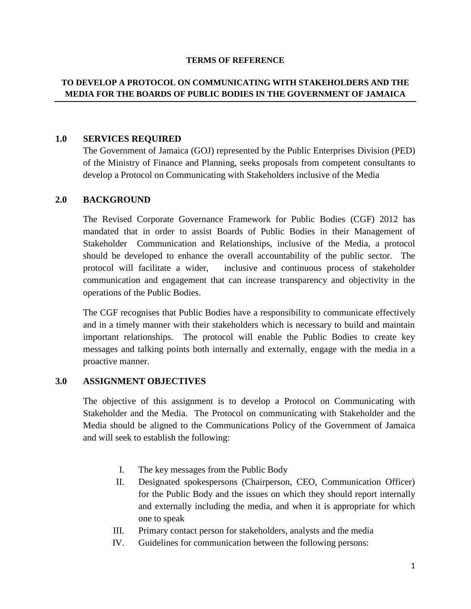#### **TERMS OF REFERENCE**

## **TO DEVELOP A PROTOCOL ON COMMUNICATING WITH STAKEHOLDERS AND THE MEDIA FOR THE BOARDS OF PUBLIC BODIES IN THE GOVERNMENT OF JAMAICA**

#### **1.0 SERVICES REQUIRED**

The Government of Jamaica (GOJ) represented by the Public Enterprises Division (PED) of the Ministry of Finance and Planning, seeks proposals from competent consultants to develop a Protocol on Communicating with Stakeholders inclusive of the Media

#### **2.0 BACKGROUND**

The Revised Corporate Governance Framework for Public Bodies (CGF) 2012 has mandated that in order to assist Boards of Public Bodies in their Management of Stakeholder Communication and Relationships, inclusive of the Media, a protocol should be developed to enhance the overall accountability of the public sector. The protocol will facilitate a wider, inclusive and continuous process of stakeholder communication and engagement that can increase transparency and objectivity in the operations of the Public Bodies.

The CGF recognises that Public Bodies have a responsibility to communicate effectively and in a timely manner with their stakeholders which is necessary to build and maintain important relationships. The protocol will enable the Public Bodies to create key messages and talking points both internally and externally, engage with the media in a proactive manner.

## **3.0 ASSIGNMENT OBJECTIVES**

The objective of this assignment is to develop a Protocol on Communicating with Stakeholder and the Media. The Protocol on communicating with Stakeholder and the Media should be aligned to the Communications Policy of the Government of Jamaica and will seek to establish the following:

- I. The key messages from the Public Body
- II. Designated spokespersons (Chairperson, CEO, Communication Officer) for the Public Body and the issues on which they should report internally and externally including the media, and when it is appropriate for which one to speak
- III. Primary contact person for stakeholders, analysts and the media
- IV. Guidelines for communication between the following persons: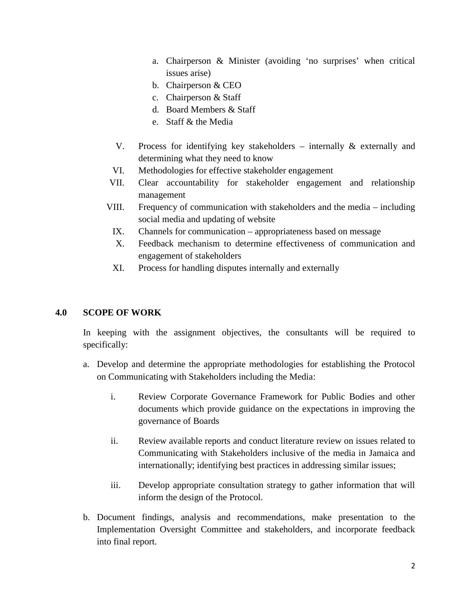- a. Chairperson & Minister (avoiding 'no surprises' when critical issues arise)
- b. Chairperson & CEO
- c. Chairperson & Staff
- d. Board Members & Staff
- e. Staff & the Media
- V. Process for identifying key stakeholders internally & externally and determining what they need to know
- VI. Methodologies for effective stakeholder engagement
- VII. Clear accountability for stakeholder engagement and relationship management
- VIII. Frequency of communication with stakeholders and the media including social media and updating of website
	- IX. Channels for communication appropriateness based on message
	- X. Feedback mechanism to determine effectiveness of communication and engagement of stakeholders
	- XI. Process for handling disputes internally and externally

# **4.0 SCOPE OF WORK**

In keeping with the assignment objectives, the consultants will be required to specifically:

- a. Develop and determine the appropriate methodologies for establishing the Protocol on Communicating with Stakeholders including the Media:
	- i. Review Corporate Governance Framework for Public Bodies and other documents which provide guidance on the expectations in improving the governance of Boards
	- ii. Review available reports and conduct literature review on issues related to Communicating with Stakeholders inclusive of the media in Jamaica and internationally; identifying best practices in addressing similar issues;
	- iii. Develop appropriate consultation strategy to gather information that will inform the design of the Protocol.
- b. Document findings, analysis and recommendations, make presentation to the Implementation Oversight Committee and stakeholders, and incorporate feedback into final report.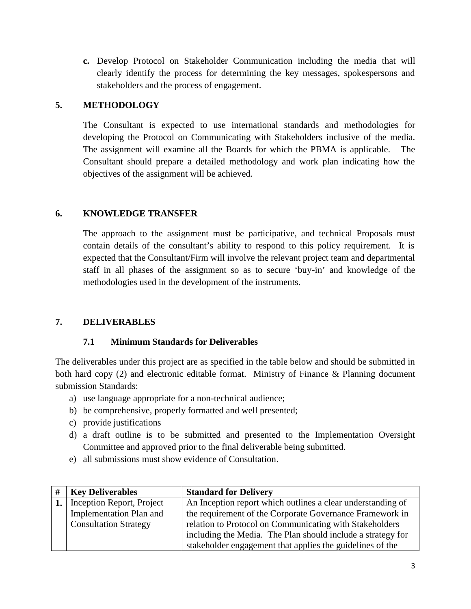**c.** Develop Protocol on Stakeholder Communication including the media that will clearly identify the process for determining the key messages, spokespersons and stakeholders and the process of engagement.

## **5. METHODOLOGY**

The Consultant is expected to use international standards and methodologies for developing the Protocol on Communicating with Stakeholders inclusive of the media. The assignment will examine all the Boards for which the PBMA is applicable. The Consultant should prepare a detailed methodology and work plan indicating how the objectives of the assignment will be achieved.

## **6. KNOWLEDGE TRANSFER**

The approach to the assignment must be participative, and technical Proposals must contain details of the consultant's ability to respond to this policy requirement. It is expected that the Consultant/Firm will involve the relevant project team and departmental staff in all phases of the assignment so as to secure 'buy-in' and knowledge of the methodologies used in the development of the instruments.

# **7. DELIVERABLES**

## **7.1 Minimum Standards for Deliverables**

The deliverables under this project are as specified in the table below and should be submitted in both hard copy (2) and electronic editable format. Ministry of Finance & Planning document submission Standards:

- a) use language appropriate for a non-technical audience;
- b) be comprehensive, properly formatted and well presented;
- c) provide justifications
- d) a draft outline is to be submitted and presented to the Implementation Oversight Committee and approved prior to the final deliverable being submitted.
- e) all submissions must show evidence of Consultation.

| <b>Key Deliverables</b>             | <b>Standard for Delivery</b>                                |  |
|-------------------------------------|-------------------------------------------------------------|--|
| <b>1.</b> Inception Report, Project | An Inception report which outlines a clear understanding of |  |
| Implementation Plan and             | the requirement of the Corporate Governance Framework in    |  |
| <b>Consultation Strategy</b>        | relation to Protocol on Communicating with Stakeholders     |  |
|                                     | including the Media. The Plan should include a strategy for |  |
|                                     | stakeholder engagement that applies the guidelines of the   |  |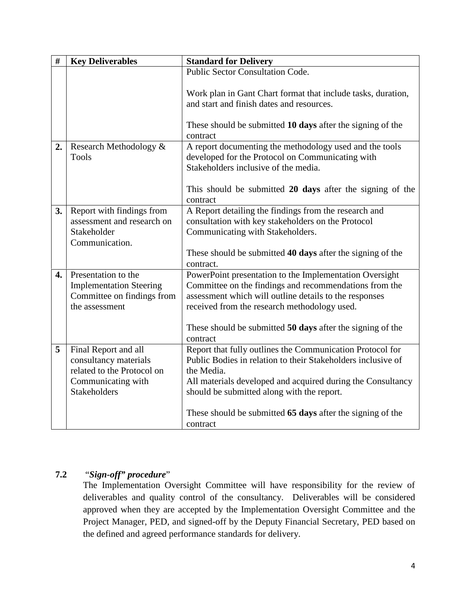| $\#$             | <b>Key Deliverables</b>                                                                                                  | <b>Standard for Delivery</b>                                                                                                                                                                                                                                                                                                   |  |
|------------------|--------------------------------------------------------------------------------------------------------------------------|--------------------------------------------------------------------------------------------------------------------------------------------------------------------------------------------------------------------------------------------------------------------------------------------------------------------------------|--|
|                  |                                                                                                                          | Public Sector Consultation Code.                                                                                                                                                                                                                                                                                               |  |
|                  |                                                                                                                          | Work plan in Gant Chart format that include tasks, duration,<br>and start and finish dates and resources.                                                                                                                                                                                                                      |  |
|                  |                                                                                                                          | These should be submitted 10 days after the signing of the<br>contract                                                                                                                                                                                                                                                         |  |
| 2.               | Research Methodology &<br><b>Tools</b>                                                                                   | A report documenting the methodology used and the tools<br>developed for the Protocol on Communicating with<br>Stakeholders inclusive of the media.<br>This should be submitted 20 days after the signing of the<br>contract                                                                                                   |  |
| 3.               | Report with findings from<br>assessment and research on<br>Stakeholder<br>Communication.                                 | A Report detailing the findings from the research and<br>consultation with key stakeholders on the Protocol<br>Communicating with Stakeholders.<br>These should be submitted 40 days after the signing of the<br>contract.                                                                                                     |  |
| $\overline{4}$ . | Presentation to the<br><b>Implementation Steering</b><br>Committee on findings from<br>the assessment                    | PowerPoint presentation to the Implementation Oversight<br>Committee on the findings and recommendations from the<br>assessment which will outline details to the responses<br>received from the research methodology used.<br>These should be submitted 50 days after the signing of the<br>contract                          |  |
| 5                | Final Report and all<br>consultancy materials<br>related to the Protocol on<br>Communicating with<br><b>Stakeholders</b> | Report that fully outlines the Communication Protocol for<br>Public Bodies in relation to their Stakeholders inclusive of<br>the Media.<br>All materials developed and acquired during the Consultancy<br>should be submitted along with the report.<br>These should be submitted 65 days after the signing of the<br>contract |  |

# **7.2** "*Sign-off" procedure*"

The Implementation Oversight Committee will have responsibility for the review of deliverables and quality control of the consultancy. Deliverables will be considered approved when they are accepted by the Implementation Oversight Committee and the Project Manager, PED, and signed-off by the Deputy Financial Secretary, PED based on the defined and agreed performance standards for delivery.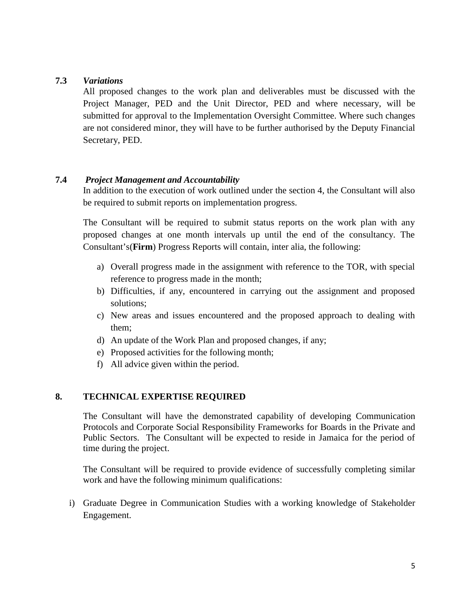## **7.3** *Variations*

All proposed changes to the work plan and deliverables must be discussed with the Project Manager, PED and the Unit Director, PED and where necessary, will be submitted for approval to the Implementation Oversight Committee. Where such changes are not considered minor, they will have to be further authorised by the Deputy Financial Secretary, PED.

#### **7.4** *Project Management and Accountability*

In addition to the execution of work outlined under the section 4, the Consultant will also be required to submit reports on implementation progress.

The Consultant will be required to submit status reports on the work plan with any proposed changes at one month intervals up until the end of the consultancy. The Consultant's(**Firm**) Progress Reports will contain, inter alia, the following:

- a) Overall progress made in the assignment with reference to the TOR, with special reference to progress made in the month;
- b) Difficulties, if any, encountered in carrying out the assignment and proposed solutions;
- c) New areas and issues encountered and the proposed approach to dealing with them;
- d) An update of the Work Plan and proposed changes, if any;
- e) Proposed activities for the following month;
- f) All advice given within the period.

#### **8. TECHNICAL EXPERTISE REQUIRED**

The Consultant will have the demonstrated capability of developing Communication Protocols and Corporate Social Responsibility Frameworks for Boards in the Private and Public Sectors. The Consultant will be expected to reside in Jamaica for the period of time during the project.

The Consultant will be required to provide evidence of successfully completing similar work and have the following minimum qualifications:

i) Graduate Degree in Communication Studies with a working knowledge of Stakeholder Engagement.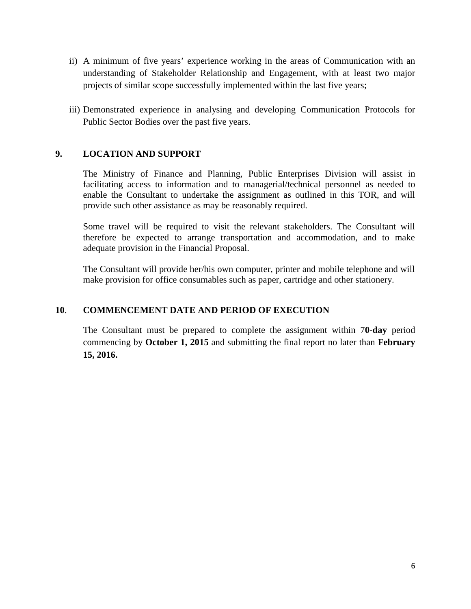- ii) A minimum of five years' experience working in the areas of Communication with an understanding of Stakeholder Relationship and Engagement, with at least two major projects of similar scope successfully implemented within the last five years;
- iii) Demonstrated experience in analysing and developing Communication Protocols for Public Sector Bodies over the past five years.

## **9. LOCATION AND SUPPORT**

The Ministry of Finance and Planning, Public Enterprises Division will assist in facilitating access to information and to managerial/technical personnel as needed to enable the Consultant to undertake the assignment as outlined in this TOR, and will provide such other assistance as may be reasonably required.

Some travel will be required to visit the relevant stakeholders. The Consultant will therefore be expected to arrange transportation and accommodation, and to make adequate provision in the Financial Proposal.

The Consultant will provide her/his own computer, printer and mobile telephone and will make provision for office consumables such as paper, cartridge and other stationery.

## **10**. **COMMENCEMENT DATE AND PERIOD OF EXECUTION**

The Consultant must be prepared to complete the assignment within 7**0-day** period commencing by **October 1, 2015** and submitting the final report no later than **February 15, 2016.**